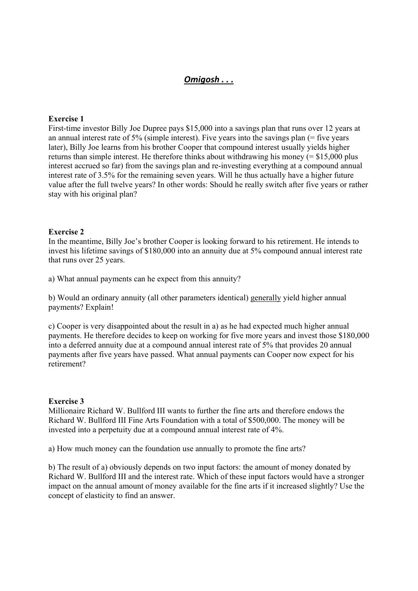# *Omigosh . . .*

## **Exercise 1**

First-time investor Billy Joe Dupree pays \$15,000 into a savings plan that runs over 12 years at an annual interest rate of  $5\%$  (simple interest). Five years into the savings plan (= five years later), Billy Joe learns from his brother Cooper that compound interest usually yields higher returns than simple interest. He therefore thinks about withdrawing his money  $(= $15,000$  plus interest accrued so far) from the savings plan and re-investing everything at a compound annual interest rate of 3.5% for the remaining seven years. Will he thus actually have a higher future value after the full twelve years? In other words: Should he really switch after five years or rather stay with his original plan?

#### **Exercise 2**

In the meantime, Billy Joe's brother Cooper is looking forward to his retirement. He intends to invest his lifetime savings of \$180,000 into an annuity due at 5% compound annual interest rate that runs over 25 years.

a) What annual payments can he expect from this annuity?

b) Would an ordinary annuity (all other parameters identical) generally yield higher annual payments? Explain!

c) Cooper is very disappointed about the result in a) as he had expected much higher annual payments. He therefore decides to keep on working for five more years and invest those \$180,000 into a deferred annuity due at a compound annual interest rate of 5% that provides 20 annual payments after five years have passed. What annual payments can Cooper now expect for his retirement?

#### **Exercise 3**

Millionaire Richard W. Bullford III wants to further the fine arts and therefore endows the Richard W. Bullford III Fine Arts Foundation with a total of \$500,000. The money will be invested into a perpetuity due at a compound annual interest rate of 4%.

a) How much money can the foundation use annually to promote the fine arts?

b) The result of a) obviously depends on two input factors: the amount of money donated by Richard W. Bullford III and the interest rate. Which of these input factors would have a stronger impact on the annual amount of money available for the fine arts if it increased slightly? Use the concept of elasticity to find an answer.